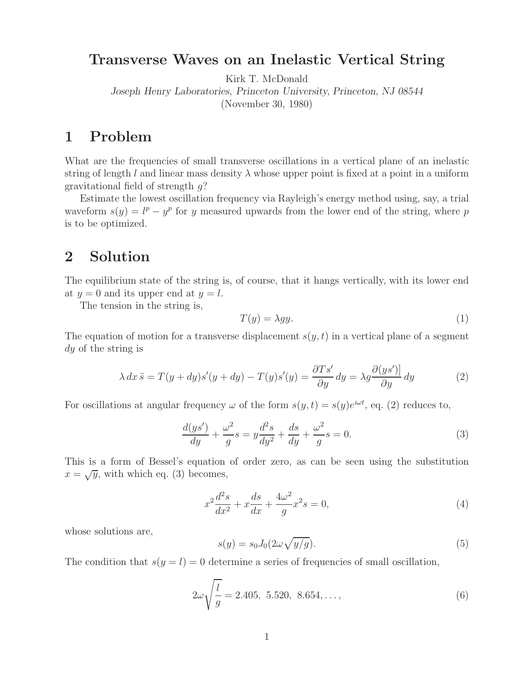## **Transverse Waves on an Inelastic Vertical String**

Kirk T. McDonald

*Joseph Henry Laboratories, Princeton University, Princeton, NJ 08544* (November 30, 1980)

What are the frequencies of small transverse oscillations in a vertical plane of an inelastic string of length l and linear mass density  $\lambda$  whose upper point is fixed at a point in a uniform gravitational field of strength  $q$ ?

Estimate the lowest oscillation frequency via Rayleigh's energy method using, say, a trial waveform  $s(y) = l^p - y^p$  for y measured upwards from the lower end of the string, where p is to be optimized.

## **2 Solution**

The equilibrium state of the string is, of course, that it hangs vertically, with its lower end at  $y = 0$  and its upper end at  $y = l$ .

The tension in the string is,

$$
T(y) = \lambda gy.\tag{1}
$$

The equation of motion for a transverse displacement  $s(y, t)$  in a vertical plane of a segment dy of the string is

$$
\lambda \, dx \ddot{s} = T(y + dy)s'(y + dy) - T(y)s'(y) = \frac{\partial Ts'}{\partial y} \, dy = \lambda g \frac{\partial (ys')}{\partial y} \, dy \tag{2}
$$

For oscillations at angular frequency  $\omega$  of the form  $s(y, t) = s(y)e^{i\omega t}$ , eq. (2) reduces to,

$$
\frac{d(ys')}{dy} + \frac{\omega^2}{g}s = y\frac{d^2s}{dy^2} + \frac{ds}{dy} + \frac{\omega^2}{g}s = 0.
$$
\n(3)

This is a form of Bessel's equation of order zero, as can be seen using the substitution  $x = \sqrt{y}$ , with which eq. (3) becomes,

$$
x^{2}\frac{d^{2}s}{dx^{2}} + x\frac{ds}{dx} + \frac{4\omega^{2}}{g}x^{2}s = 0,
$$
\n(4)

whose solutions are,

$$
s(y) = s_0 J_0(2\omega\sqrt{y/g}).\tag{5}
$$

The condition that  $s(y = l) = 0$  determine a series of frequencies of small oscillation,

$$
2\omega\sqrt{\frac{l}{g}} = 2.405, 5.520, 8.654, ..., \tag{6}
$$